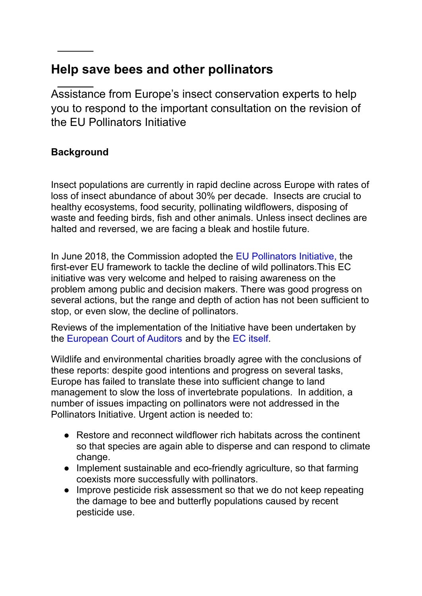# **Help save bees and other pollinators**

Assistance from Europe's insect conservation experts to help you to respond to the important consultation on the revision of the EU Pollinators Initiative

## **Background**

Insect populations are currently in rapid decline across Europe with rates of loss of insect abundance of about 30% per decade. Insects are crucial to healthy ecosystems, food security, pollinating wildflowers, disposing of waste and feeding birds, fish and other animals. Unless insect declines are halted and reversed, we are facing a bleak and hostile future.

In June 2018, the Commission adopted the [EU Pollinators](https://eur-lex.europa.eu/legal-content/EN/TXT/?uri=CELEX:52018DC0395) Initiative, the first-ever EU framework to tackle the decline of wild pollinators.This EC initiative was very welcome and helped to raising awareness on the problem among public and decision makers. There was good progress on several actions, but the range and depth of action has not been sufficient to stop, or even slow, the decline of pollinators.

Reviews of the implementation of the Initiative have been undertaken by the [European Court of Auditors](https://www.eca.europa.eu/en/Pages/DocItem.aspx?did=54200) and by the [EC itself.](https://eur-lex.europa.eu/legal-content/EN/TXT/?uri=CELEX:52021DC0261)

Wildlife and environmental charities broadly agree with the conclusions of these reports: despite good intentions and progress on several tasks, Europe has failed to translate these into sufficient change to land management to slow the loss of invertebrate populations. In addition, a number of issues impacting on pollinators were not addressed in the Pollinators Initiative. Urgent action is needed to:

- Restore and reconnect wildflower rich habitats across the continent so that species are again able to disperse and can respond to climate change.
- Implement sustainable and eco-friendly agriculture, so that farming coexists more successfully with pollinators.
- Improve pesticide risk assessment so that we do not keep repeating the damage to bee and butterfly populations caused by recent pesticide use.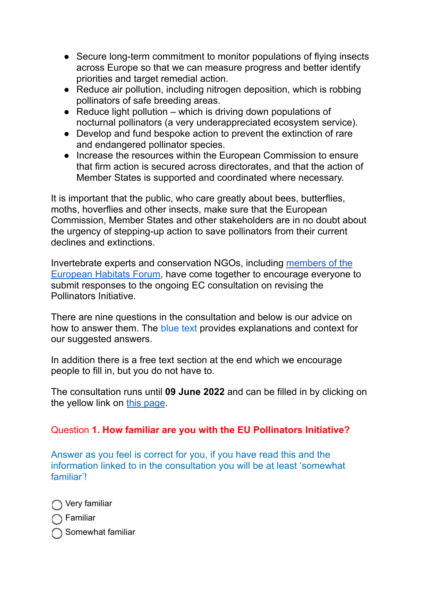- Secure long-term commitment to monitor populations of flying insects across Europe so that we can measure progress and better identify priorities and target remedial action.
- Reduce air pollution, including nitrogen deposition, which is robbing pollinators of safe breeding areas.
- $\bullet$  Reduce light pollution which is driving down populations of nocturnal pollinators (a very underappreciated ecosystem service).
- Develop and fund bespoke action to prevent the extinction of rare and endangered pollinator species.
- Increase the resources within the European Commission to ensure that firm action is secured across directorates, and that the action of Member States is supported and coordinated where necessary.

It is important that the public, who care greatly about bees, butterflies, moths, hoverflies and other insects, make sure that the European Commission, Member States and other stakeholders are in no doubt about the urgency of stepping-up action to save pollinators from their current declines and extinctions.

Invertebrate experts and conservation NGOs, including [members of the](https://www.iucn.org/regions/europe/our-work/policy/eu-biodiversity-policy/european-habitats-forum) [European Habitats Forum,](https://www.iucn.org/regions/europe/our-work/policy/eu-biodiversity-policy/european-habitats-forum) have come together to encourage everyone to submit responses to the ongoing EC consultation on revising the Pollinators Initiative.

There are nine questions in the consultation and below is our advice on how to answer them. The blue text provides explanations and context for our suggested answers.

In addition there is a free text section at the end which we encourage people to fill in, but you do not have to.

The consultation runs until **09 June 2022** and can be filled in by clicking on the yellow link on [this page](https://ec.europa.eu/info/law/better-regulation/have-your-say/initiatives/13142-EU-pollinators-initiative-revision/public-consultation_en).

## Question **1. How familiar are you with the EU Pollinators Initiative?**

Answer as you feel is correct for you, if you have read this and the information linked to in the consultation you will be at least 'somewhat familiar'!

◯ Very familiar ∩ Familiar  $\bigcap$  Somewhat familiar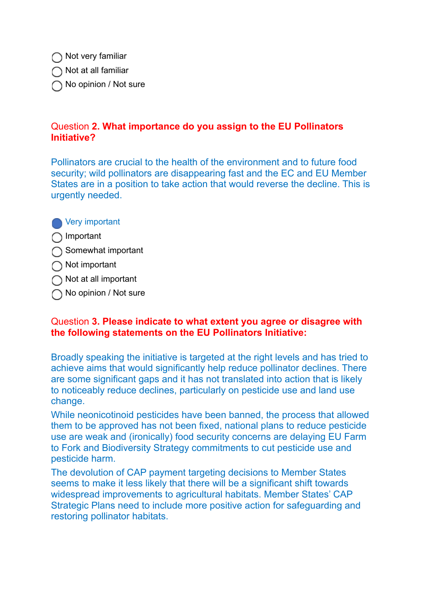◯ Not very familiar

 $\bigcap$  Not at all familiar

◯ No opinion / Not sure

## Question **2. What importance do you assign to the EU Pollinators Initiative?**

Pollinators are crucial to the health of the environment and to future food security; wild pollinators are disappearing fast and the EC and EU Member States are in a position to take action that would reverse the decline. This is urgently needed.

**Nery important** 

◯ Important

- Somewhat important
- ◯ Not important
- $\bigcap$  Not at all important
- ◯ No opinion / Not sure

## Question **3. Please indicate to what extent you agree or disagree with the following statements on the EU Pollinators Initiative:**

Broadly speaking the initiative is targeted at the right levels and has tried to achieve aims that would significantly help reduce pollinator declines. There are some significant gaps and it has not translated into action that is likely to noticeably reduce declines, particularly on pesticide use and land use change.

While neonicotinoid pesticides have been banned, the process that allowed them to be approved has not been fixed, national plans to reduce pesticide use are weak and (ironically) food security concerns are delaying EU Farm to Fork and Biodiversity Strategy commitments to cut pesticide use and pesticide harm.

The devolution of CAP payment targeting decisions to Member States seems to make it less likely that there will be a significant shift towards widespread improvements to agricultural habitats. Member States' CAP Strategic Plans need to include more positive action for safeguarding and restoring pollinator habitats.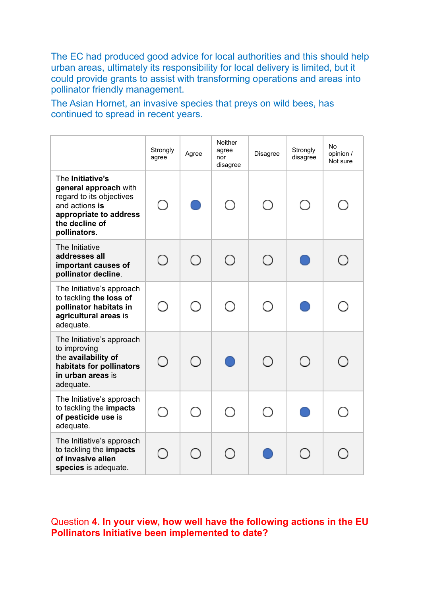The EC had produced good advice for local authorities and this should help urban areas, ultimately its responsibility for local delivery is limited, but it could provide grants to assist with transforming operations and areas into pollinator friendly management.

The Asian Hornet, an invasive species that preys on wild bees, has continued to spread in recent years.

|                                                                                                                                                     | Strongly<br>agree | Agree | Neither<br>agree<br>nor<br>disagree | Disagree   | Strongly<br>disagree | No<br>opinion /<br>Not sure |
|-----------------------------------------------------------------------------------------------------------------------------------------------------|-------------------|-------|-------------------------------------|------------|----------------------|-----------------------------|
| The Initiative's<br>general approach with<br>regard to its objectives<br>and actions is<br>appropriate to address<br>the decline of<br>pollinators. |                   |       |                                     | $\bigcirc$ | ∩                    |                             |
| The Initiative<br>addresses all<br>important causes of<br>pollinator decline.                                                                       | ∩                 | ∩     | ∩                                   | ◯          |                      |                             |
| The Initiative's approach<br>to tackling the loss of<br>pollinator habitats in<br>agricultural areas is<br>adequate.                                |                   | ∩     |                                     | $\bigcirc$ |                      |                             |
| The Initiative's approach<br>to improving<br>the availability of<br>habitats for pollinators<br>in urban areas is<br>adequate.                      | $\bigcirc$        | ∩     |                                     | ∩          | ◯                    |                             |
| The Initiative's approach<br>to tackling the impacts<br>of pesticide use is<br>adequate.                                                            | $\cap$            | ∩     |                                     | ( )        |                      |                             |
| The Initiative's approach<br>to tackling the impacts<br>of invasive alien<br>species is adequate.                                                   | ( )               | ( )   |                                     |            |                      |                             |

Question **4. In your view, how well have the following actions in the EU Pollinators Initiative been implemented to date?**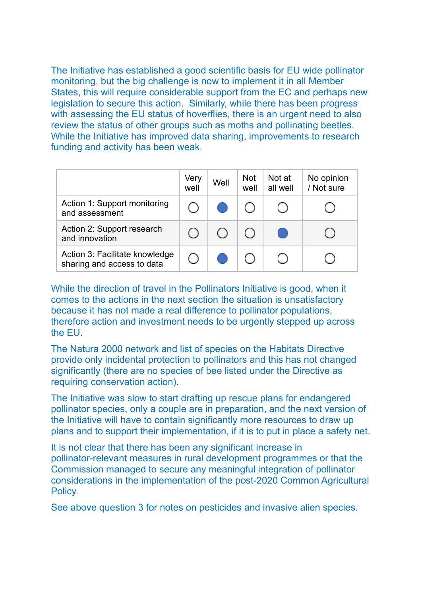The Initiative has established a good scientific basis for EU wide pollinator monitoring, but the big challenge is now to implement it in all Member States, this will require considerable support from the EC and perhaps new legislation to secure this action. Similarly, while there has been progress with assessing the EU status of hoverflies, there is an urgent need to also review the status of other groups such as moths and pollinating beetles. While the Initiative has improved data sharing, improvements to research funding and activity has been weak.

|                                                              | Very<br>well | Well | <b>Not</b><br>well | Not at<br>all well                            | No opinion<br>/ Not sure |
|--------------------------------------------------------------|--------------|------|--------------------|-----------------------------------------------|--------------------------|
| Action 1: Support monitoring<br>and assessment               |              |      |                    |                                               |                          |
| Action 2: Support research<br>and innovation                 |              | ( )  |                    | $\left( \begin{array}{c} \end{array} \right)$ |                          |
| Action 3: Facilitate knowledge<br>sharing and access to data |              |      |                    |                                               |                          |

While the direction of travel in the Pollinators Initiative is good, when it comes to the actions in the next section the situation is unsatisfactory because it has not made a real difference to pollinator populations, therefore action and investment needs to be urgently stepped up across the EU.

The Natura 2000 network and list of species on the Habitats Directive provide only incidental protection to pollinators and this has not changed significantly (there are no species of bee listed under the Directive as requiring conservation action).

The Initiative was slow to start drafting up rescue plans for endangered pollinator species, only a couple are in preparation, and the next version of the Initiative will have to contain significantly more resources to draw up plans and to support their implementation, if it is to put in place a safety net.

It is not clear that there has been any significant increase in pollinator-relevant measures in rural development programmes or that the Commission managed to secure any meaningful integration of pollinator considerations in the implementation of the post-2020 Common Agricultural Policy.

See above question 3 for notes on pesticides and invasive alien species.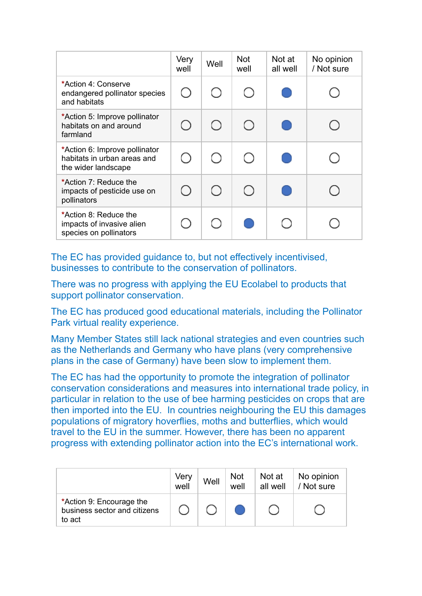|                                                                                     | Very<br>well                                    | Well | <b>Not</b><br>well                              | Not at<br>all well | No opinion<br>/ Not sure |
|-------------------------------------------------------------------------------------|-------------------------------------------------|------|-------------------------------------------------|--------------------|--------------------------|
| *Action 4: Conserve<br>endangered pollinator species<br>and habitats                |                                                 |      | ( )                                             |                    |                          |
| *Action 5: Improve pollinator<br>habitats on and around<br>farmland                 | $\left( \begin{array}{c} 1 \end{array} \right)$ | ◯    | $\bigcirc$                                      |                    |                          |
| *Action 6: Improve pollinator<br>habitats in urban areas and<br>the wider landscape |                                                 | ( )  | $\left( \begin{array}{c} 1 \end{array} \right)$ |                    |                          |
| *Action 7: Reduce the<br>impacts of pesticide use on<br>pollinators                 | $($ )                                           | ◯    | ∩                                               |                    |                          |
| *Action 8: Reduce the<br>impacts of invasive alien<br>species on pollinators        |                                                 |      |                                                 |                    |                          |

The EC has provided guidance to, but not effectively incentivised, businesses to contribute to the conservation of pollinators.

There was no progress with applying the EU Ecolabel to products that support pollinator conservation.

The EC has produced good educational materials, including the Pollinator Park virtual reality experience.

Many Member States still lack national strategies and even countries such as the Netherlands and Germany who have plans (very comprehensive plans in the case of Germany) have been slow to implement them.

The EC has had the opportunity to promote the integration of pollinator conservation considerations and measures into international trade policy, in particular in relation to the use of bee harming pesticides on crops that are then imported into the EU. In countries neighbouring the EU this damages populations of migratory hoverflies, moths and butterflies, which would travel to the EU in the summer. However, there has been no apparent progress with extending pollinator action into the EC's international work.

|                                                                    | Very<br>well | Well | <b>Not</b><br>well | Not at<br>all well | No opinion<br>/ Not sure |
|--------------------------------------------------------------------|--------------|------|--------------------|--------------------|--------------------------|
| *Action 9: Encourage the<br>business sector and citizens<br>to act |              |      |                    |                    |                          |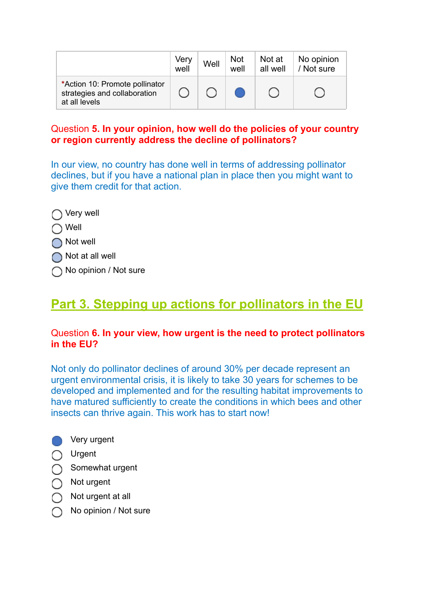|                                                                                 | Very<br>well | Well | <b>Not</b><br>well | Not at<br>all well | No opinion<br>/ Not sure |
|---------------------------------------------------------------------------------|--------------|------|--------------------|--------------------|--------------------------|
| *Action 10: Promote pollinator<br>strategies and collaboration<br>at all levels |              |      |                    |                    |                          |

## Question **5. In your opinion, how well do the policies of your country or region currently address the decline of pollinators?**

In our view, no country has done well in terms of addressing pollinator declines, but if you have a national plan in place then you might want to give them credit for that action.

- ◯ Very well
- ◯ Well
- ◯ Not well
- ◯ Not at all well
- ◯ No opinion / Not sure

# **Part 3. Stepping up actions for pollinators in the EU**

## Question **6. In your view, how urgent is the need to protect pollinators in the EU?**

Not only do pollinator declines of around 30% per decade represent an urgent environmental crisis, it is likely to take 30 years for schemes to be developed and implemented and for the resulting habitat improvements to have matured sufficiently to create the conditions in which bees and other insects can thrive again. This work has to start now!



- Urgent
- Somewhat urgent
- ◯ Not urgent
- $\bigcap$  Not urgent at all
- No opinion / Not sure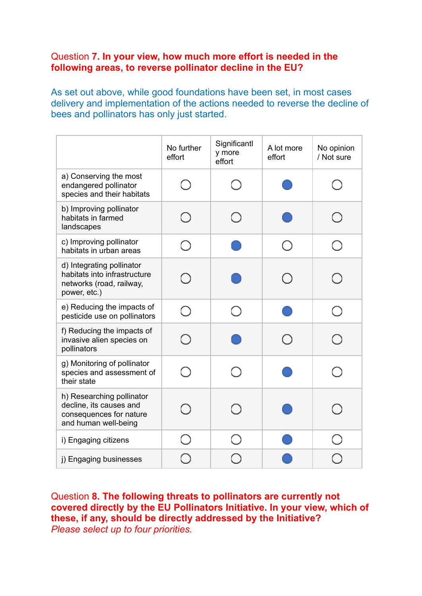### Question **7. In your view, how much more effort is needed in the following areas, to reverse pollinator decline in the EU?**

As set out above, while good foundations have been set, in most cases delivery and implementation of the actions needed to reverse the decline of bees and pollinators has only just started.

|                                                                                                         | No further<br>effort | Significantl<br>y more<br>effort | A lot more<br>effort | No opinion<br>/ Not sure |
|---------------------------------------------------------------------------------------------------------|----------------------|----------------------------------|----------------------|--------------------------|
| a) Conserving the most<br>endangered pollinator<br>species and their habitats                           |                      | $(\ )$                           |                      | $^{(+)}$                 |
| b) Improving pollinator<br>habitats in farmed<br>landscapes                                             |                      | ◯                                |                      |                          |
| c) Improving pollinator<br>habitats in urban areas                                                      | ( )                  |                                  | ( )                  | ( )                      |
| d) Integrating pollinator<br>habitats into infrastructure<br>networks (road, railway,<br>power, etc.)   |                      |                                  | ( )                  | ( )                      |
| e) Reducing the impacts of<br>pesticide use on pollinators                                              |                      | ( )                              |                      | $( \ )$                  |
| f) Reducing the impacts of<br>invasive alien species on<br>pollinators                                  |                      |                                  | $\bigcirc$           | ( )                      |
| g) Monitoring of pollinator<br>species and assessment of<br>their state                                 |                      |                                  |                      |                          |
| h) Researching pollinator<br>decline, its causes and<br>consequences for nature<br>and human well-being |                      |                                  |                      |                          |
| i) Engaging citizens                                                                                    |                      |                                  |                      |                          |
| j) Engaging businesses                                                                                  |                      |                                  |                      |                          |

Question **8. The following threats to pollinators are currently not covered directly by the EU Pollinators Initiative. In your view, which of these, if any, should be directly addressed by the Initiative?** *Please select up to four priorities.*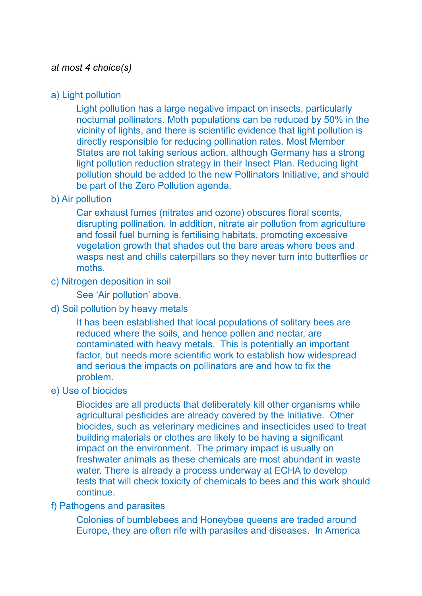#### *at most 4 choice(s)*

#### a) Light pollution

Light pollution has a large negative impact on insects, particularly nocturnal pollinators. Moth populations can be reduced by 50% in the vicinity of lights, and there is scientific evidence that light pollution is directly responsible for reducing pollination rates. Most Member States are not taking serious action, although Germany has a strong light pollution reduction strategy in their Insect Plan. Reducing light pollution should be added to the new Pollinators Initiative, and should be part of the Zero Pollution agenda.

#### b) Air pollution

Car exhaust fumes (nitrates and ozone) obscures floral scents, disrupting pollination. In addition, nitrate air pollution from agriculture and fossil fuel burning is fertilising habitats, promoting excessive vegetation growth that shades out the bare areas where bees and wasps nest and chills caterpillars so they never turn into butterflies or moths.

#### c) Nitrogen deposition in soil

See 'Air pollution' above.

#### d) Soil pollution by heavy metals

It has been established that local populations of solitary bees are reduced where the soils, and hence pollen and nectar, are contaminated with heavy metals. This is potentially an important factor, but needs more scientific work to establish how widespread and serious the impacts on pollinators are and how to fix the problem.

#### e) Use of biocides

Biocides are all products that deliberately kill other organisms while agricultural pesticides are already covered by the Initiative. Other biocides, such as veterinary medicines and insecticides used to treat building materials or clothes are likely to be having a significant impact on the environment. The primary impact is usually on freshwater animals as these chemicals are most abundant in waste water. There is already a process underway at ECHA to develop tests that will check toxicity of chemicals to bees and this work should continue.

#### f) Pathogens and parasites

Colonies of bumblebees and Honeybee queens are traded around Europe, they are often rife with parasites and diseases. In America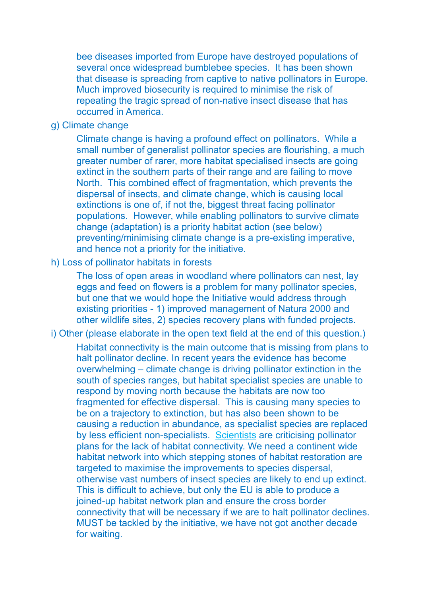bee diseases imported from Europe have destroyed populations of several once widespread bumblebee species. It has been shown that disease is spreading from captive to native pollinators in Europe. Much improved biosecurity is required to minimise the risk of repeating the tragic spread of non-native insect disease that has occurred in America.

#### g) Climate change

Climate change is having a profound effect on pollinators. While a small number of generalist pollinator species are flourishing, a much greater number of rarer, more habitat specialised insects are going extinct in the southern parts of their range and are failing to move North. This combined effect of fragmentation, which prevents the dispersal of insects, and climate change, which is causing local extinctions is one of, if not the, biggest threat facing pollinator populations. However, while enabling pollinators to survive climate change (adaptation) is a priority habitat action (see below) preventing/minimising climate change is a pre-existing imperative, and hence not a priority for the initiative.

#### h) Loss of pollinator habitats in forests

The loss of open areas in woodland where pollinators can nest, lay eggs and feed on flowers is a problem for many pollinator species, but one that we would hope the Initiative would address through existing priorities - 1) improved management of Natura 2000 and other wildlife sites, 2) species recovery plans with funded projects.

#### i) Other (please elaborate in the open text field at the end of this question.)

Habitat connectivity is the main outcome that is missing from plans to halt pollinator decline. In recent years the evidence has become overwhelming – climate change is driving pollinator extinction in the south of species ranges, but habitat specialist species are unable to respond by moving north because the habitats are now too fragmented for effective dispersal. This is causing many species to be on a trajectory to extinction, but has also been shown to be causing a reduction in abundance, as specialist species are replaced by less efficient non-specialists. [Scientists](https://www.sciencedirect.com/science/article/abs/pii/S004896972100855X) are criticising pollinator plans for the lack of habitat connectivity. We need a continent wide habitat network into which stepping stones of habitat restoration are targeted to maximise the improvements to species dispersal, otherwise vast numbers of insect species are likely to end up extinct. This is difficult to achieve, but only the EU is able to produce a joined-up habitat network plan and ensure the cross border connectivity that will be necessary if we are to halt pollinator declines. MUST be tackled by the initiative, we have not got another decade for waiting.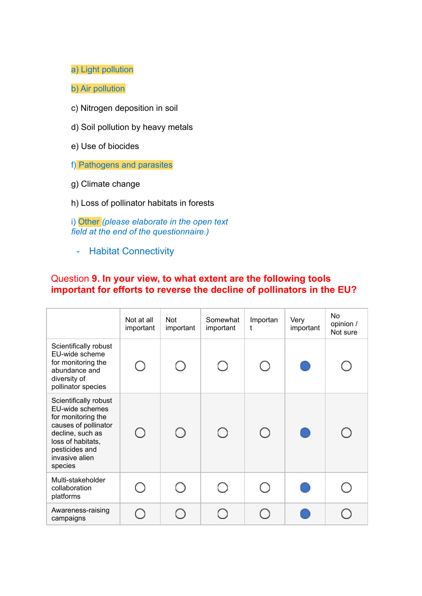a) Light pollution

b) Air pollution

- c) Nitrogen deposition in soil
- d) Soil pollution by heavy metals
- e) Use of biocides

f) Pathogens and parasites

- g) Climate change
- h) Loss of pollinator habitats in forests

i) Other *(please elaborate in the open text field at the end of the questionnaire.)*

- Habitat Connectivity

## Question **9. In your view, to what extent are the following tools important for efforts to reverse the decline of pollinators in the EU?**

|                                                                                                                                                                                | Not at all<br>important | Not<br>important | Somewhat<br>important | Importan<br>t | Very<br>important | <b>No</b><br>opinion /<br>Not sure |
|--------------------------------------------------------------------------------------------------------------------------------------------------------------------------------|-------------------------|------------------|-----------------------|---------------|-------------------|------------------------------------|
| Scientifically robust<br>EU-wide scheme<br>for monitoring the<br>abundance and<br>diversity of<br>pollinator species                                                           | $\bigcirc$              | ∩                | ∩                     |               |                   |                                    |
| Scientifically robust<br>EU-wide schemes<br>for monitoring the<br>causes of pollinator<br>decline, such as<br>loss of habitats,<br>pesticides and<br>invasive alien<br>species | ∩                       | ∩                | ∩                     | ∩             |                   |                                    |
| Multi-stakeholder<br>collaboration<br>platforms                                                                                                                                |                         |                  | ∩                     |               |                   |                                    |
| Awareness-raising<br>campaigns                                                                                                                                                 |                         |                  | ◯                     |               |                   |                                    |